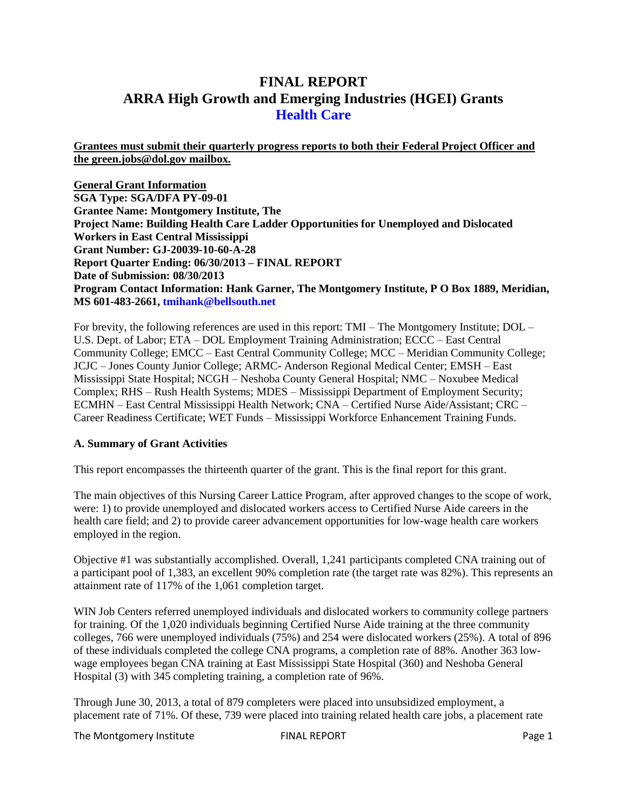# **FINAL REPORT ARRA High Growth and Emerging Industries (HGEI) Grants Health Care**

**Grantees must submit their quarterly progress reports to both their Federal Project Officer and the green.jobs@dol.gov mailbox.** 

**General Grant Information SGA Type: SGA/DFA PY-09-01 Grantee Name: Montgomery Institute, The Project Name: Building Health Care Ladder Opportunities for Unemployed and Dislocated Workers in East Central Mississippi Grant Number: GJ-20039-10-60-A-28 Report Quarter Ending: 06/30/2013 – FINAL REPORT Date of Submission: 08/30/2013 Program Contact Information: Hank Garner, The Montgomery Institute, P O Box 1889, Meridian, MS 601-483-2661, tmihank@bellsouth.net** 

For brevity, the following references are used in this report: TMI – The Montgomery Institute; DOL – U.S. Dept. of Labor; ETA – DOL Employment Training Administration; ECCC – East Central Community College; EMCC – East Central Community College; MCC – Meridian Community College; JCJC – Jones County Junior College; ARMC- Anderson Regional Medical Center; EMSH – East Mississippi State Hospital; NCGH – Neshoba County General Hospital; NMC – Noxubee Medical Complex; RHS – Rush Health Systems; MDES – Mississippi Department of Employment Security; ECMHN – East Central Mississippi Health Network; CNA – Certified Nurse Aide/Assistant; CRC – Career Readiness Certificate; WET Funds – Mississippi Workforce Enhancement Training Funds.

### **A. Summary of Grant Activities**

This report encompasses the thirteenth quarter of the grant. This is the final report for this grant.

The main objectives of this Nursing Career Lattice Program, after approved changes to the scope of work, were: 1) to provide unemployed and dislocated workers access to Certified Nurse Aide careers in the health care field; and 2) to provide career advancement opportunities for low-wage health care workers employed in the region.

Objective #1 was substantially accomplished. Overall, 1,241 participants completed CNA training out of a participant pool of 1,383, an excellent 90% completion rate (the target rate was 82%). This represents an attainment rate of 117% of the 1,061 completion target.

WIN Job Centers referred unemployed individuals and dislocated workers to community college partners for training. Of the 1,020 individuals beginning Certified Nurse Aide training at the three community colleges, 766 were unemployed individuals (75%) and 254 were dislocated workers (25%). A total of 896 of these individuals completed the college CNA programs, a completion rate of 88%. Another 363 lowwage employees began CNA training at East Mississippi State Hospital (360) and Neshoba General Hospital (3) with 345 completing training, a completion rate of 96%.

Through June 30, 2013, a total of 879 completers were placed into unsubsidized employment, a placement rate of 71%. Of these, 739 were placed into training related health care jobs, a placement rate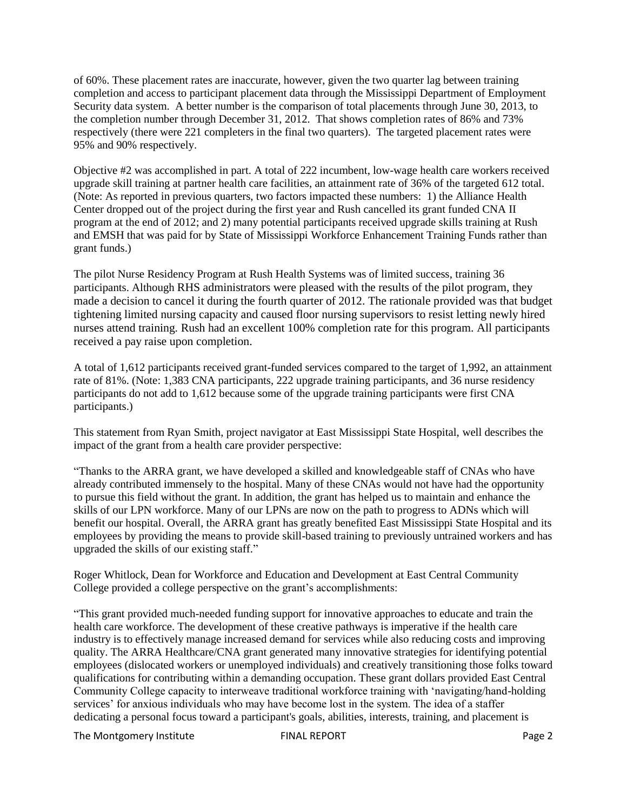of 60%. These placement rates are inaccurate, however, given the two quarter lag between training completion and access to participant placement data through the Mississippi Department of Employment Security data system. A better number is the comparison of total placements through June 30, 2013, to the completion number through December 31, 2012. That shows completion rates of 86% and 73% respectively (there were 221 completers in the final two quarters). The targeted placement rates were 95% and 90% respectively.

Objective #2 was accomplished in part. A total of 222 incumbent, low-wage health care workers received upgrade skill training at partner health care facilities, an attainment rate of 36% of the targeted 612 total. (Note: As reported in previous quarters, two factors impacted these numbers: 1) the Alliance Health Center dropped out of the project during the first year and Rush cancelled its grant funded CNA II program at the end of 2012; and 2) many potential participants received upgrade skills training at Rush and EMSH that was paid for by State of Mississippi Workforce Enhancement Training Funds rather than grant funds.)

The pilot Nurse Residency Program at Rush Health Systems was of limited success, training 36 participants. Although RHS administrators were pleased with the results of the pilot program, they made a decision to cancel it during the fourth quarter of 2012. The rationale provided was that budget tightening limited nursing capacity and caused floor nursing supervisors to resist letting newly hired nurses attend training. Rush had an excellent 100% completion rate for this program. All participants received a pay raise upon completion.

A total of 1,612 participants received grant-funded services compared to the target of 1,992, an attainment rate of 81%. (Note: 1,383 CNA participants, 222 upgrade training participants, and 36 nurse residency participants do not add to 1,612 because some of the upgrade training participants were first CNA participants.)

This statement from Ryan Smith, project navigator at East Mississippi State Hospital, well describes the impact of the grant from a health care provider perspective:

"Thanks to the ARRA grant, we have developed a skilled and knowledgeable staff of CNAs who have already contributed immensely to the hospital. Many of these CNAs would not have had the opportunity to pursue this field without the grant. In addition, the grant has helped us to maintain and enhance the skills of our LPN workforce. Many of our LPNs are now on the path to progress to ADNs which will benefit our hospital. Overall, the ARRA grant has greatly benefited East Mississippi State Hospital and its employees by providing the means to provide skill-based training to previously untrained workers and has upgraded the skills of our existing staff."

Roger Whitlock, Dean for Workforce and Education and Development at East Central Community College provided a college perspective on the grant's accomplishments:

"This grant provided much-needed funding support for innovative approaches to educate and train the health care workforce. The development of these creative pathways is imperative if the health care industry is to effectively manage increased demand for services while also reducing costs and improving quality. The ARRA Healthcare/CNA grant generated many innovative strategies for identifying potential employees (dislocated workers or unemployed individuals) and creatively transitioning those folks toward qualifications for contributing within a demanding occupation. These grant dollars provided East Central Community College capacity to interweave traditional workforce training with 'navigating/hand-holding services' for anxious individuals who may have become lost in the system. The idea of a staffer dedicating a personal focus toward a participant's goals, abilities, interests, training, and placement is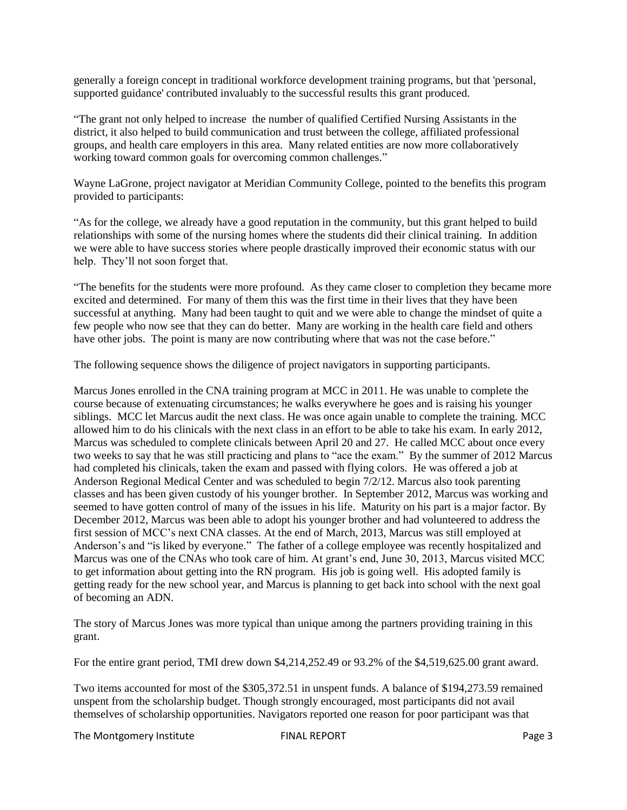generally a foreign concept in traditional workforce development training programs, but that 'personal, supported guidance' contributed invaluably to the successful results this grant produced.

"The grant not only helped to increase the number of qualified Certified Nursing Assistants in the district, it also helped to build communication and trust between the college, affiliated professional groups, and health care employers in this area. Many related entities are now more collaboratively working toward common goals for overcoming common challenges."

Wayne LaGrone, project navigator at Meridian Community College, pointed to the benefits this program provided to participants:

"As for the college, we already have a good reputation in the community, but this grant helped to build relationships with some of the nursing homes where the students did their clinical training. In addition we were able to have success stories where people drastically improved their economic status with our help. They'll not soon forget that.

"The benefits for the students were more profound. As they came closer to completion they became more excited and determined. For many of them this was the first time in their lives that they have been successful at anything. Many had been taught to quit and we were able to change the mindset of quite a few people who now see that they can do better. Many are working in the health care field and others have other jobs. The point is many are now contributing where that was not the case before."

The following sequence shows the diligence of project navigators in supporting participants.

Marcus Jones enrolled in the CNA training program at MCC in 2011. He was unable to complete the course because of extenuating circumstances; he walks everywhere he goes and is raising his younger siblings. MCC let Marcus audit the next class. He was once again unable to complete the training. MCC allowed him to do his clinicals with the next class in an effort to be able to take his exam. In early 2012, Marcus was scheduled to complete clinicals between April 20 and 27. He called MCC about once every two weeks to say that he was still practicing and plans to "ace the exam." By the summer of 2012 Marcus had completed his clinicals, taken the exam and passed with flying colors. He was offered a job at Anderson Regional Medical Center and was scheduled to begin 7/2/12. Marcus also took parenting classes and has been given custody of his younger brother. In September 2012, Marcus was working and seemed to have gotten control of many of the issues in his life. Maturity on his part is a major factor. By December 2012, Marcus was been able to adopt his younger brother and had volunteered to address the first session of MCC's next CNA classes. At the end of March, 2013, Marcus was still employed at Anderson's and "is liked by everyone." The father of a college employee was recently hospitalized and Marcus was one of the CNAs who took care of him. At grant's end, June 30, 2013, Marcus visited MCC to get information about getting into the RN program. His job is going well. His adopted family is getting ready for the new school year, and Marcus is planning to get back into school with the next goal of becoming an ADN.

The story of Marcus Jones was more typical than unique among the partners providing training in this grant.

For the entire grant period, TMI drew down \$4,214,252.49 or 93.2% of the \$4,519,625.00 grant award.

Two items accounted for most of the \$305,372.51 in unspent funds. A balance of \$194,273.59 remained unspent from the scholarship budget. Though strongly encouraged, most participants did not avail themselves of scholarship opportunities. Navigators reported one reason for poor participant was that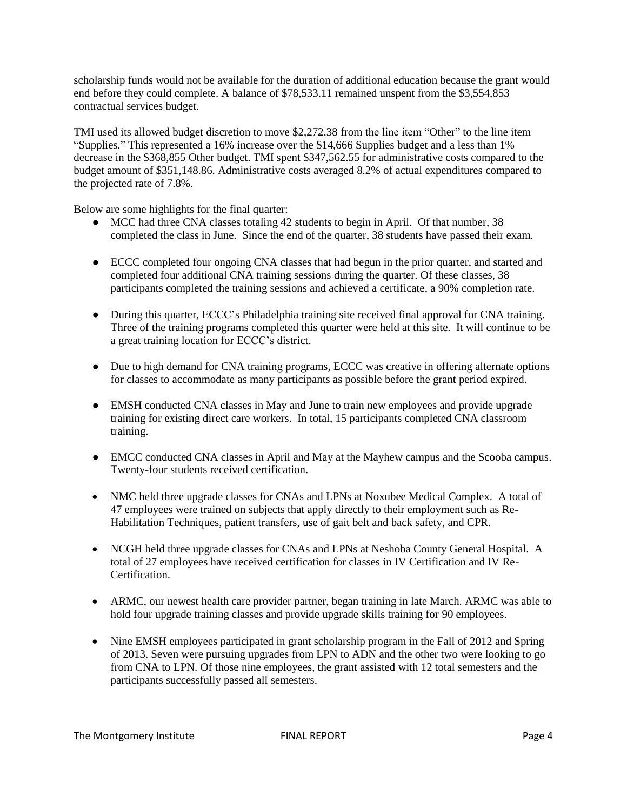scholarship funds would not be available for the duration of additional education because the grant would end before they could complete. A balance of \$78,533.11 remained unspent from the \$3,554,853 contractual services budget.

TMI used its allowed budget discretion to move \$2,272.38 from the line item "Other" to the line item "Supplies." This represented a 16% increase over the \$14,666 Supplies budget and a less than 1% decrease in the \$368,855 Other budget. TMI spent \$347,562.55 for administrative costs compared to the budget amount of \$351,148.86. Administrative costs averaged 8.2% of actual expenditures compared to the projected rate of 7.8%.

Below are some highlights for the final quarter:

- MCC had three CNA classes totaling 42 students to begin in April. Of that number, 38 completed the class in June. Since the end of the quarter, 38 students have passed their exam.
- ECCC completed four ongoing CNA classes that had begun in the prior quarter, and started and completed four additional CNA training sessions during the quarter. Of these classes, 38 participants completed the training sessions and achieved a certificate, a 90% completion rate.
- During this quarter, ECCC's Philadelphia training site received final approval for CNA training. Three of the training programs completed this quarter were held at this site. It will continue to be a great training location for ECCC's district.
- Due to high demand for CNA training programs, ECCC was creative in offering alternate options for classes to accommodate as many participants as possible before the grant period expired.
- EMSH conducted CNA classes in May and June to train new employees and provide upgrade training for existing direct care workers. In total, 15 participants completed CNA classroom training.
- EMCC conducted CNA classes in April and May at the Mayhew campus and the Scooba campus. Twenty-four students received certification.
- NMC held three upgrade classes for CNAs and LPNs at Noxubee Medical Complex. A total of 47 employees were trained on subjects that apply directly to their employment such as Re-Habilitation Techniques, patient transfers, use of gait belt and back safety, and CPR.
- NCGH held three upgrade classes for CNAs and LPNs at Neshoba County General Hospital. A total of 27 employees have received certification for classes in IV Certification and IV Re-Certification.
- ARMC, our newest health care provider partner, began training in late March. ARMC was able to hold four upgrade training classes and provide upgrade skills training for 90 employees.
- Nine EMSH employees participated in grant scholarship program in the Fall of 2012 and Spring of 2013. Seven were pursuing upgrades from LPN to ADN and the other two were looking to go from CNA to LPN. Of those nine employees, the grant assisted with 12 total semesters and the participants successfully passed all semesters.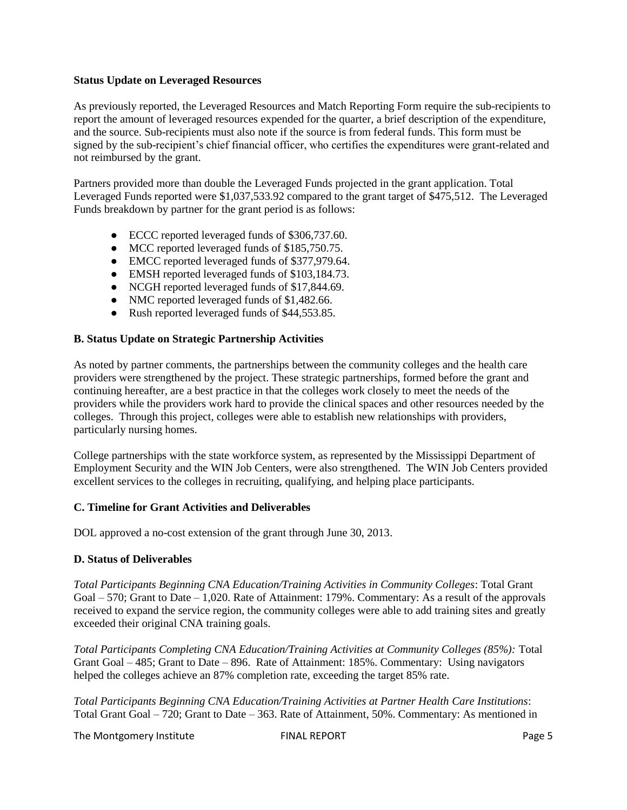#### **Status Update on Leveraged Resources**

As previously reported, the Leveraged Resources and Match Reporting Form require the sub-recipients to report the amount of leveraged resources expended for the quarter, a brief description of the expenditure, and the source. Sub-recipients must also note if the source is from federal funds. This form must be signed by the sub-recipient's chief financial officer, who certifies the expenditures were grant-related and not reimbursed by the grant.

Partners provided more than double the Leveraged Funds projected in the grant application. Total Leveraged Funds reported were \$1,037,533.92 compared to the grant target of \$475,512. The Leveraged Funds breakdown by partner for the grant period is as follows:

- ECCC reported leveraged funds of \$306,737.60.
- MCC reported leveraged funds of \$185,750.75.
- EMCC reported leveraged funds of \$377,979.64.
- EMSH reported leveraged funds of \$103,184.73.
- NCGH reported leveraged funds of \$17,844.69.
- NMC reported leveraged funds of \$1,482.66.
- Rush reported leveraged funds of \$44,553.85.

### **B. Status Update on Strategic Partnership Activities**

As noted by partner comments, the partnerships between the community colleges and the health care providers were strengthened by the project. These strategic partnerships, formed before the grant and continuing hereafter, are a best practice in that the colleges work closely to meet the needs of the providers while the providers work hard to provide the clinical spaces and other resources needed by the colleges. Through this project, colleges were able to establish new relationships with providers, particularly nursing homes.

College partnerships with the state workforce system, as represented by the Mississippi Department of Employment Security and the WIN Job Centers, were also strengthened. The WIN Job Centers provided excellent services to the colleges in recruiting, qualifying, and helping place participants.

### **C. Timeline for Grant Activities and Deliverables**

DOL approved a no-cost extension of the grant through June 30, 2013.

### **D. Status of Deliverables**

*Total Participants Beginning CNA Education/Training Activities in Community Colleges*: Total Grant Goal – 570; Grant to Date – 1,020. Rate of Attainment: 179%. Commentary: As a result of the approvals received to expand the service region, the community colleges were able to add training sites and greatly exceeded their original CNA training goals.

*Total Participants Completing CNA Education/Training Activities at Community Colleges (85%):* Total Grant Goal – 485; Grant to Date – 896. Rate of Attainment: 185%. Commentary: Using navigators helped the colleges achieve an 87% completion rate, exceeding the target 85% rate.

*Total Participants Beginning CNA Education/Training Activities at Partner Health Care Institutions*: Total Grant Goal – 720; Grant to Date – 363. Rate of Attainment, 50%. Commentary: As mentioned in

The Montgomery Institute THE REPORT FINAL REPORT FINAL REPORT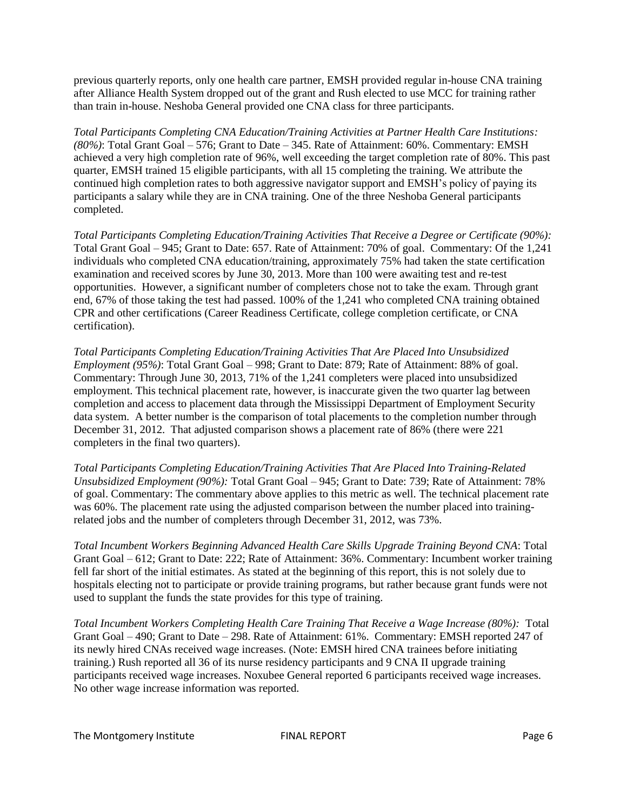previous quarterly reports, only one health care partner, EMSH provided regular in-house CNA training after Alliance Health System dropped out of the grant and Rush elected to use MCC for training rather than train in-house. Neshoba General provided one CNA class for three participants.

*Total Participants Completing CNA Education/Training Activities at Partner Health Care Institutions: (80%)*: Total Grant Goal – 576; Grant to Date – 345. Rate of Attainment: 60%. Commentary: EMSH achieved a very high completion rate of 96%, well exceeding the target completion rate of 80%. This past quarter, EMSH trained 15 eligible participants, with all 15 completing the training. We attribute the continued high completion rates to both aggressive navigator support and EMSH's policy of paying its participants a salary while they are in CNA training. One of the three Neshoba General participants completed.

*Total Participants Completing Education/Training Activities That Receive a Degree or Certificate (90%):*  Total Grant Goal – 945; Grant to Date: 657. Rate of Attainment: 70% of goal. Commentary: Of the 1,241 individuals who completed CNA education/training, approximately 75% had taken the state certification examination and received scores by June 30, 2013. More than 100 were awaiting test and re-test opportunities. However, a significant number of completers chose not to take the exam. Through grant end, 67% of those taking the test had passed. 100% of the 1,241 who completed CNA training obtained CPR and other certifications (Career Readiness Certificate, college completion certificate, or CNA certification).

*Total Participants Completing Education/Training Activities That Are Placed Into Unsubsidized Employment (95%)*: Total Grant Goal – 998; Grant to Date: 879; Rate of Attainment: 88% of goal. Commentary: Through June 30, 2013, 71% of the 1,241 completers were placed into unsubsidized employment. This technical placement rate, however, is inaccurate given the two quarter lag between completion and access to placement data through the Mississippi Department of Employment Security data system. A better number is the comparison of total placements to the completion number through December 31, 2012. That adjusted comparison shows a placement rate of 86% (there were 221 completers in the final two quarters).

*Total Participants Completing Education/Training Activities That Are Placed Into Training-Related Unsubsidized Employment (90%):* Total Grant Goal – 945; Grant to Date: 739; Rate of Attainment: 78% of goal. Commentary: The commentary above applies to this metric as well. The technical placement rate was 60%. The placement rate using the adjusted comparison between the number placed into trainingrelated jobs and the number of completers through December 31, 2012, was 73%.

*Total Incumbent Workers Beginning Advanced Health Care Skills Upgrade Training Beyond CNA*: Total Grant Goal – 612; Grant to Date: 222; Rate of Attainment: 36%. Commentary: Incumbent worker training fell far short of the initial estimates. As stated at the beginning of this report, this is not solely due to hospitals electing not to participate or provide training programs, but rather because grant funds were not used to supplant the funds the state provides for this type of training.

*Total Incumbent Workers Completing Health Care Training That Receive a Wage Increase (80%):* Total Grant Goal – 490; Grant to Date – 298. Rate of Attainment: 61%. Commentary: EMSH reported 247 of its newly hired CNAs received wage increases. (Note: EMSH hired CNA trainees before initiating training.) Rush reported all 36 of its nurse residency participants and 9 CNA II upgrade training participants received wage increases. Noxubee General reported 6 participants received wage increases. No other wage increase information was reported.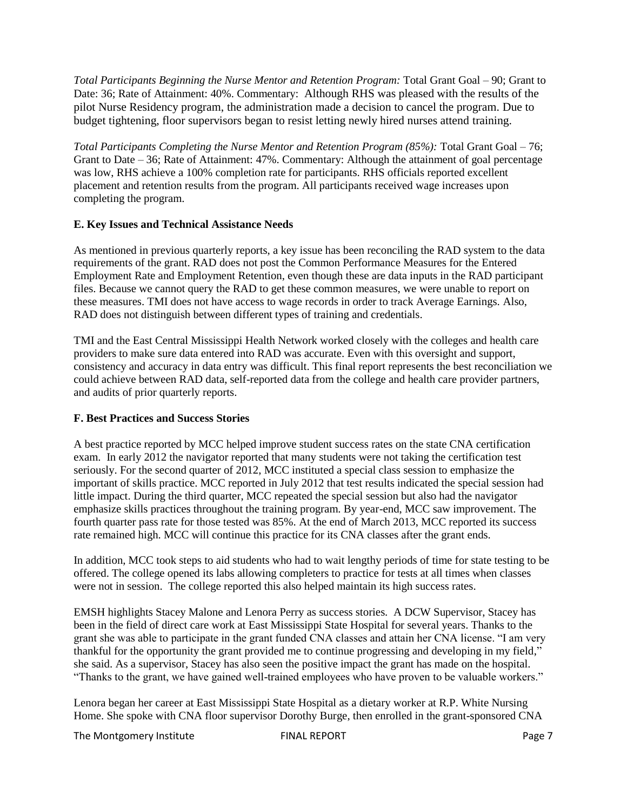*Total Participants Beginning the Nurse Mentor and Retention Program:* Total Grant Goal – 90; Grant to Date: 36; Rate of Attainment: 40%. Commentary: Although RHS was pleased with the results of the pilot Nurse Residency program, the administration made a decision to cancel the program. Due to budget tightening, floor supervisors began to resist letting newly hired nurses attend training.

*Total Participants Completing the Nurse Mentor and Retention Program (85%):* Total Grant Goal – 76; Grant to Date – 36; Rate of Attainment: 47%. Commentary: Although the attainment of goal percentage was low, RHS achieve a 100% completion rate for participants. RHS officials reported excellent placement and retention results from the program. All participants received wage increases upon completing the program.

## **E. Key Issues and Technical Assistance Needs**

As mentioned in previous quarterly reports, a key issue has been reconciling the RAD system to the data requirements of the grant. RAD does not post the Common Performance Measures for the Entered Employment Rate and Employment Retention, even though these are data inputs in the RAD participant files. Because we cannot query the RAD to get these common measures, we were unable to report on these measures. TMI does not have access to wage records in order to track Average Earnings. Also, RAD does not distinguish between different types of training and credentials.

TMI and the East Central Mississippi Health Network worked closely with the colleges and health care providers to make sure data entered into RAD was accurate. Even with this oversight and support, consistency and accuracy in data entry was difficult. This final report represents the best reconciliation we could achieve between RAD data, self-reported data from the college and health care provider partners, and audits of prior quarterly reports.

### **F. Best Practices and Success Stories**

A best practice reported by MCC helped improve student success rates on the state CNA certification exam. In early 2012 the navigator reported that many students were not taking the certification test seriously. For the second quarter of 2012, MCC instituted a special class session to emphasize the important of skills practice. MCC reported in July 2012 that test results indicated the special session had little impact. During the third quarter, MCC repeated the special session but also had the navigator emphasize skills practices throughout the training program. By year-end, MCC saw improvement. The fourth quarter pass rate for those tested was 85%. At the end of March 2013, MCC reported its success rate remained high. MCC will continue this practice for its CNA classes after the grant ends.

In addition, MCC took steps to aid students who had to wait lengthy periods of time for state testing to be offered. The college opened its labs allowing completers to practice for tests at all times when classes were not in session. The college reported this also helped maintain its high success rates.

EMSH highlights Stacey Malone and Lenora Perry as success stories. A DCW Supervisor, Stacey has been in the field of direct care work at East Mississippi State Hospital for several years. Thanks to the grant she was able to participate in the grant funded CNA classes and attain her CNA license. "I am very thankful for the opportunity the grant provided me to continue progressing and developing in my field," she said. As a supervisor, Stacey has also seen the positive impact the grant has made on the hospital. "Thanks to the grant, we have gained well-trained employees who have proven to be valuable workers."

Lenora began her career at East Mississippi State Hospital as a dietary worker at R.P. White Nursing Home. She spoke with CNA floor supervisor Dorothy Burge, then enrolled in the grant-sponsored CNA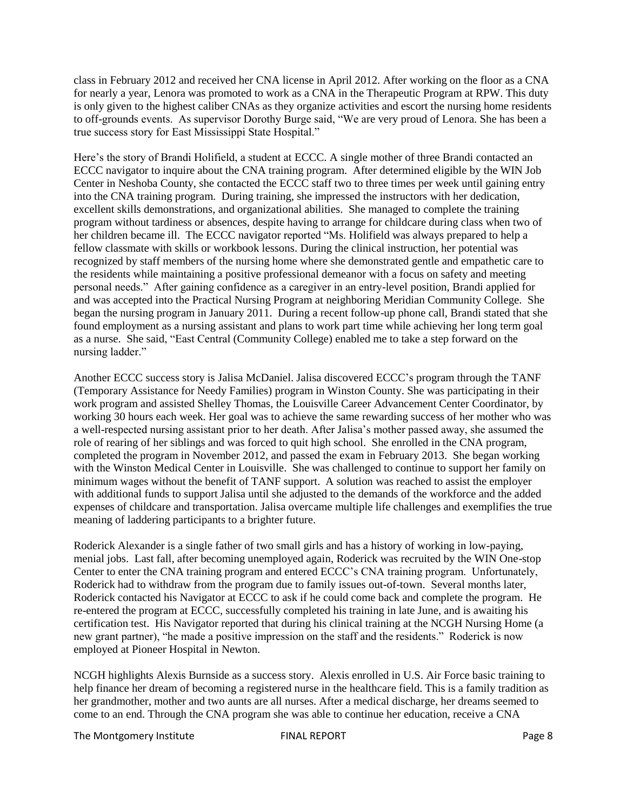class in February 2012 and received her CNA license in April 2012. After working on the floor as a CNA for nearly a year, Lenora was promoted to work as a CNA in the Therapeutic Program at RPW. This duty is only given to the highest caliber CNAs as they organize activities and escort the nursing home residents to off-grounds events. As supervisor Dorothy Burge said, "We are very proud of Lenora. She has been a true success story for East Mississippi State Hospital."

Here's the story of Brandi Holifield, a student at ECCC. A single mother of three Brandi contacted an ECCC navigator to inquire about the CNA training program. After determined eligible by the WIN Job Center in Neshoba County, she contacted the ECCC staff two to three times per week until gaining entry into the CNA training program. During training, she impressed the instructors with her dedication, excellent skills demonstrations, and organizational abilities. She managed to complete the training program without tardiness or absences, despite having to arrange for childcare during class when two of her children became ill. The ECCC navigator reported "Ms. Holifield was always prepared to help a fellow classmate with skills or workbook lessons. During the clinical instruction, her potential was recognized by staff members of the nursing home where she demonstrated gentle and empathetic care to the residents while maintaining a positive professional demeanor with a focus on safety and meeting personal needs." After gaining confidence as a caregiver in an entry-level position, Brandi applied for and was accepted into the Practical Nursing Program at neighboring Meridian Community College. She began the nursing program in January 2011. During a recent follow-up phone call, Brandi stated that she found employment as a nursing assistant and plans to work part time while achieving her long term goal as a nurse. She said, "East Central (Community College) enabled me to take a step forward on the nursing ladder."

Another ECCC success story is Jalisa McDaniel. Jalisa discovered ECCC's program through the TANF (Temporary Assistance for Needy Families) program in Winston County. She was participating in their work program and assisted Shelley Thomas, the Louisville Career Advancement Center Coordinator, by working 30 hours each week. Her goal was to achieve the same rewarding success of her mother who was a well-respected nursing assistant prior to her death. After Jalisa's mother passed away, she assumed the role of rearing of her siblings and was forced to quit high school. She enrolled in the CNA program, completed the program in November 2012, and passed the exam in February 2013. She began working with the Winston Medical Center in Louisville. She was challenged to continue to support her family on minimum wages without the benefit of TANF support. A solution was reached to assist the employer with additional funds to support Jalisa until she adjusted to the demands of the workforce and the added expenses of childcare and transportation. Jalisa overcame multiple life challenges and exemplifies the true meaning of laddering participants to a brighter future.

Roderick Alexander is a single father of two small girls and has a history of working in low-paying, menial jobs. Last fall, after becoming unemployed again, Roderick was recruited by the WIN One-stop Center to enter the CNA training program and entered ECCC's CNA training program. Unfortunately, Roderick had to withdraw from the program due to family issues out-of-town. Several months later, Roderick contacted his Navigator at ECCC to ask if he could come back and complete the program. He re-entered the program at ECCC, successfully completed his training in late June, and is awaiting his certification test. His Navigator reported that during his clinical training at the NCGH Nursing Home (a new grant partner), "he made a positive impression on the staff and the residents." Roderick is now employed at Pioneer Hospital in Newton.

NCGH highlights Alexis Burnside as a success story. Alexis enrolled in U.S. Air Force basic training to help finance her dream of becoming a registered nurse in the healthcare field. This is a family tradition as her grandmother, mother and two aunts are all nurses. After a medical discharge, her dreams seemed to come to an end. Through the CNA program she was able to continue her education, receive a CNA